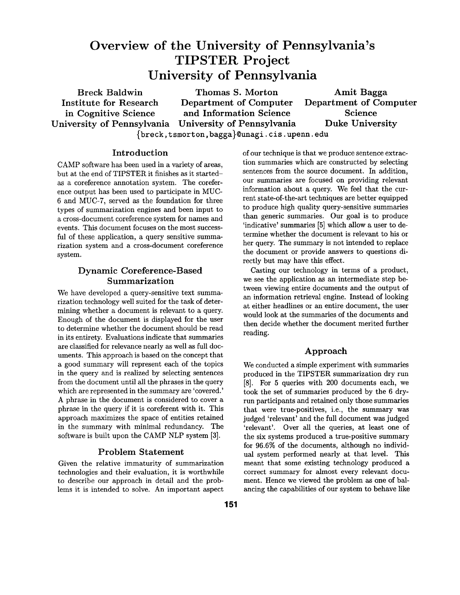# **Overview of the University of Pennsylvania's TIPSTER Project University of Pennsylvania**

Breck Baldwin Thomas S. Morton Amit Bagga Institute for Research Department of Computer Department of Computer in Cognitive Science and Information Science Science University of Pennsylvania University of Pennsylvania Duke University {breck, tsmort on, bagga}@unagi, cis. upenn, edu

Introduction

CAMP software has been used in a variety of areas, but at the end of TIPSTER it finishes as it startedas a coreference annotation system. The coreference output has been used to participate in MUC-6 and MUC-7, served as the foundation for three types of summarization engines and been input to a cross-document coreference system for names and events. This document focuses on the most successful of these application, a query sensitive summarization system and a cross-document coreference system.

# Dynamic Coreference-Based Summarization

We have developed a query-sensitive text summarization technology well suited for the task of determining whether a document is relevant to a query. Enough of the document is displayed for the user to determine whether the document should be read in its entirety. Evaluations indicate that summaries are classified for relevance nearly as well as full documents. This approach is based on the concept that a good summary will represent each of the topics in the query and is realized by selecting sentences from the document until all the phrases in the query which are represented in the summary are 'covered.' A phrase in the document is considered to cover a phrase in the query if it is coreferent with it. This approach maximizes the space of entities retained in the summary with minimal redundancy. The software is built upon the CAMP NLP system [3].

# Problem Statement

Given the relative immaturity of summarization technologies and their evaluation, it is worthwhile to describe our approach in detail and the problems it is intended to solve. An important aspect

of our technique is that we produce sentence extraction summaries which are constructed by selecting sentences from the source document. In addition, our summaries are focused on providing relevant information about a query. We feel that the current state-of-the-art techniques are better equipped to produce high quality query-sensitive summaries than generic summaries. Our goal is to produce 'indicative' summaries [5] which allow a user to determine whether the document is relevant to his or her query. The summary is not intended to replace the document or provide answers to questions directly but may have this effect.

Casting our technology in terms of a product, we see the application as an intermediate step between viewing entire documents and the output of an information retrieval engine. Instead of looking at either headlines or an entire document, the user would look at the summaries of the documents and then decide whether the document merited further reading.

# Approach

We conducted a simple experiment with summaries produced in the TIPSTER summarization dry run [8]. For 5 queries with 200 documents each, we took the set of summaries produced by the 6 dryrun participants and retained only those summaries that were true-positives, i.e., the summary was judged 'relevant' and the full document was judged 'relevant'. Over all the queries, at least one of the six systems produced a true-positive summary for 96.6% of the documents, although no individual system performed nearly at that level. This meant that some existing technology produced a correct summary for almost every relevant document. Hence we viewed the problem as one of balancing the capabilities of our system to behave like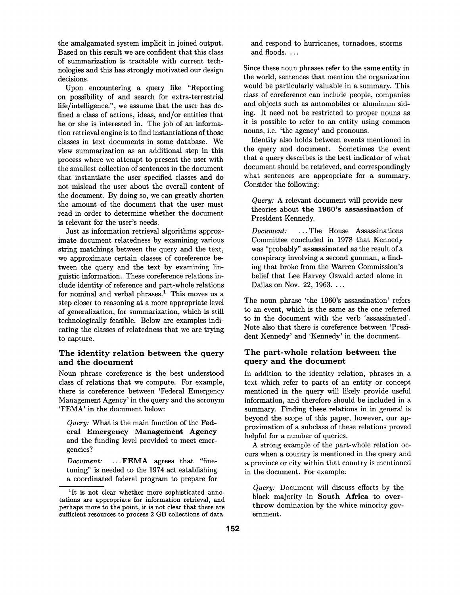the amalgamated system implicit in joined output. Based on this result we are confident that this class of summarization is tractable with current technologies and this has strongly motivated our design decisions.

Upon encountering a query like "Reporting on possibility of and search for extra-terrestrial life/intelligence.", we assume that the user has defined a class of actions, ideas, and/or entities that he or she is interested in. The job of an information retrieval engine is to find instantiations of those classes in text documents in some database. We view summarization as an additional step in this process where we attempt to present the user with the smallest collection of sentences in the document that instantiate the user specified classes and do not mislead the user about the overall content of the document. By doing so, we can greatly shorten the amount of the document that the user must read in order to determine whether the document is relevant for the user's needs.

Just as information retrieval algorithms approximate document relatedness by examining various string matchings between the query and the text, we approximate certain classes of coreference between the query and the text by examining linguistic information. These coreference relations include identity of reference and part-whole relations for nominal and verbal phrases.<sup>1</sup> This moves us a step closer to reasoning at a more appropriate level of generalization, for summarization, which is still technologically feasible. Below are examples indicating the classes of relatedness that we are trying to capture.

## The identity relation between the query **and the** document

Noun phrase coreference is the best understood class of relations that we compute. For example, there is coreference between 'Federal Emergency Management Agency' in the query and the acronym 'FEMA' in the document below:

*Query:* What is the main function of the Federal Emergency Management Agency and the funding level provided to meet emergencies?

*Document:* ...FEMA agrees that "finetuning" is needed to the 1974 act establishing a coordinated federal program to prepare for and respond to hurricanes, tornadoes, storms and floods.  $\dots$ 

Since these noun phrases refer to the same entity in the world, sentences that mention the organization would be particularly valuable in a summary. This class of coreference can include people, companies and objects such as automobiles or aluminum siding. It need not be restricted to proper nouns as it is possible to refer to an entity using common nouns, i.e. 'the agency' and pronouns.

Identity also holds between events mentioned in the query and document. Sometimes the event that a query describes is the best indicator of what document should be retrieved, and correspondingly what sentences are appropriate for a summary. Consider the following:

*Query:* A relevant document will provide new theories about the 1960's assassination of President Kennedy.

*Document:* ...The House Assassinations Committee concluded in 1978 that Kennedy was "probably" assassinated as the result of a conspiracy involving a second gunman, a finding that broke from the Warren Commission's belief that Lee Harvey Oswald acted alone in Dallas on Nov. 22, 1963. ...

The noun phrase 'the 1960's assassination' refers to an event, which is the same as the one referred to in the document with the verb 'assassinated'. Note also that there is coreference between 'President Kennedy' and 'Kennedy' in the document.

## **The part-whole** relation between the query **and the** document

In addition to the identity relation, phrases in a text which refer to parts of an entity or concept mentioned in the query will likely provide useful information, and therefore should be included in a summary. Finding these relations in in general is beyond the scope of this paper, however, our approximation of a subclass of these relations proved helpful for a number of queries.

A strong example of the part-whole relation occurs when a country is mentioned in the query and a province or city within that country is mentioned in the document. For example:

*Query:* Document will discuss efforts by the black majority in South Africa to overthrow domination by the white minority government.

<sup>&</sup>lt;sup>1</sup>It is not clear whether more sophisticated annotations are appropriate for information retrieval, and perhaps more to the point, it is not clear that there axe sufficient resources to process 2 GB collections of data.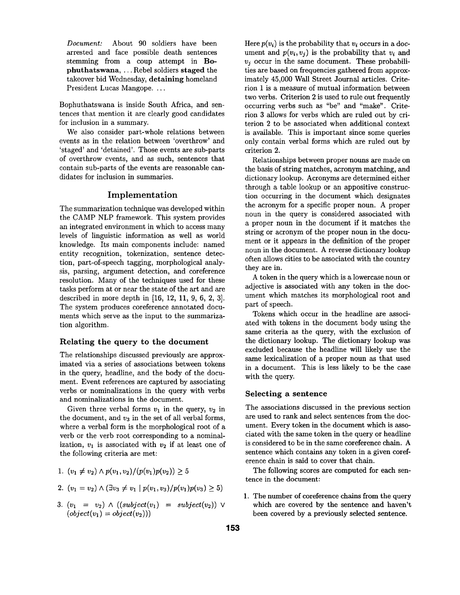*Document:* About 90 soldiers have been arrested and face possible death sentences stemming from a coup attempt in Bophuthatswana, ... Rebel soldiers staged the takeover bid Wednesday, **detaining** homeland President Lucas Mangope....

Bophuthatswana is inside South Africa, and sentences that mention it are clearly good candidates for inclusion in a summary.

We also consider part-whole relations between events as in the relation between 'overthrow' and 'staged' and 'detained'. Those events are sub-parts of overthrow events, and as such, sentences that contain sub-parts of the events are reasonable candidates for inclusion in summaries.

# **Implementation**

The summarization technique was developed within the CAMP NLP framework. This system provides an integrated environment in which to access many levels of linguistic information as well as world knowledge. Its main components include: named entity recognition, tokenization, sentence detection, part-of-speech tagging, morphological analysis, parsing, argument detection, and coreference resolution. Many of the techniques used for these tasks perform at or near the state of the art and are described in more depth in [16, 12, 11, 9, 6, 2, 3]. The system produces coreference annotated documents which serve as the input to the summarization algorithm.

#### **Relating the query to the document**

The relationships discussed previously are approximated via a series of associations between tokens in the query, headline, and the body of the document. Event references are captured by associating verbs or nominalizations in the query with verbs and nominalizations in the document.

Given three verbal forms  $v_1$  in the query,  $v_2$  in the document, and  $v_3$  in the set of all verbal forms, where a verbal form is the morphological root of a verb or the verb root corresponding to a nominalization,  $v_1$  is associated with  $v_2$  if at least one of the following criteria are met:

1. 
$$
(v_1 \neq v_2) \wedge p(v_1, v_2)/(p(v_1)p(v_2)) \geq 5
$$

2. 
$$
(v_1 = v_2) \wedge (\exists v_3 \neq v_1 \mid p(v_1, v_3) / p(v_1) p(v_3) \geq 5)
$$

3. 
$$
(v_1 = v_2) \wedge ((subject(v_1) = subject(v_2)) \vee (object(v_1) = object(v_2)))
$$

Here  $p(v_i)$  is the probability that  $v_i$  occurs in a document and  $p(v_i, v_j)$  is the probability that  $v_i$  and  $v_i$  occur in the same document. These probabilities are based on frequencies gathered from approximately 45,000 Wall Street Journal articles. Criterion 1 is a measure of mutual information between two verbs. Criterion 2 is used to rule out frequently occurring verbs such as "be" and "make". Criterion 3 allows for verbs which are ruled out by criterion 2 to be associated when additional context is available. This is important since some queries only contain verbal forms which are ruled out by criterion 2.

Relationships between proper nouns are made on the basis of string matches, acronym matching, and dictionary lookup. Acronyms are determined either through a table lookup or an appositive construction occurring in the document which designates the acronym for a specific proper noun. A proper noun in the query is considered associated with a proper noun in the document if it matches the string or acronym of the proper noun in the document or it appears in the definition of the proper noun in the document. A reverse dictionary lookup often allows cities to be associated with the country they are in.

A token in the query which is a lowercase noun or adjective is associated with any token in the document which matches its morphological root and part of speech.

Tokens which occur in the headline are associated with tokens in the document body using the same criteria as the query, with the exclusion of the dictionary lookup. The dictionary lookup was excluded because the headline will likely use the same lexicalization of a proper noun as that used in a document. This is less likely to be the case with the query.

#### **Selecting a sentence**

The associations discussed in the previous section are used to rank and select sentences from the document. Every token in the document which is associated with the same token in the query or headline is considered to be in the same coreference chain. A sentence which contains any token in a given coreference chain is said to cover that chain.

The following scores are computed for each sentence in the document:

1. The number of coreference chains from the query which are covered by **the sentence and** haven't been covered by a previously **selected sentence.**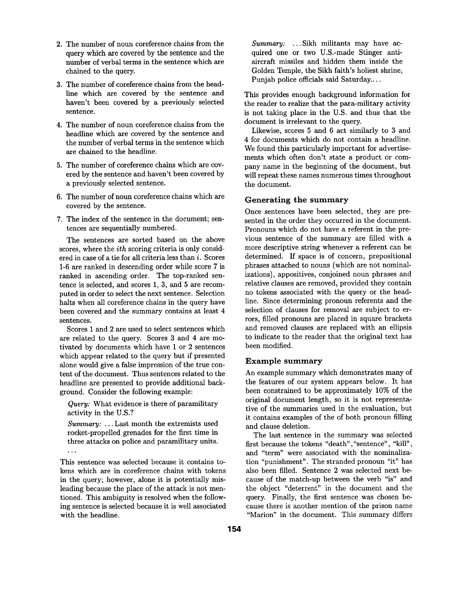- 2. The number of noun coreference chains from the query which are covered by the sentence and the number of verbal terms in the sentence which are chained to the query.
- 3. The number of coreference chains from the headline which are covered by the sentence and haven't been covered by a previously selected sentence.
- 4. The number of noun coreference chains from the headline which are covered by the sentence and the number of verbal terms in the sentence which are chained to the headline.
- 5. The number of coreference chains which are covered by the sentence and haven't been covered by a previously selected sentence.
- 6. The number of noun coreference chains which are covered by the sentence.
- 7. The index of the sentence in the document; sentences are sequentially numbered.

The sentences are sorted based on the above scores, where the *ith* scoring criteria is only considered in case of a tie for all criteria less than i. Scores 1-6 are ranked in descending order while score 7 is ranked in ascending order. The top-ranked sentence is selected, and scores 1, 3, and 5 are recomputed in order to select the next sentence. Selection halts when all coreference chains in the query have been covered and the summary contains at least 4 sentences.

Scores 1 and 2 are used to select sentences which are related to the query. Scores 3 and 4 are motivated by documents which have 1 or 2 sentences which appear related to the query but if presented alone would give a false impression of the true content of the document. Thus sentences related to the headline are presented to provide additional background. Consider the following example:

*Query:* What evidence is there of paramilitary activity in the U.S.?

*Summary: ...* Last month the extremists used rocket-propelled grenades for the first time in three attacks on police and paramilitary units.  $\ddotsc$ 

This sentence was selected because it contains tokens which are in coreference chains with tokens in the query; however, alone it is potentially misleading because the place of the attack is not mentioned. This ambiguity is resolved when the following sentence is selected because it is well associated with the headline.

*Summary:* ...Sikh militants may have acquired one or two U.S.-made Stinger antiaircraft missiles and hidden them inside the Golden Temple, the Sikh faith's holiest shrine, Punjab police officials said Saturday....

This provides enough background information for the reader to realize that the para-military activity is not taking place in the U.S. and thus that the document is irrelevant to the query.

Likewise, scores 5 and 6 act similarly to 3 and 4 for documents which do not contain a headline. We found this particularly important for advertisements which often don't state a product or company name in the beginning of the document, but will repeat these names numerous times throughout the document.

## Generating the summary

Once sentences have been selected, they are presented in the order they occurred in the document. Pronouns which do not have a referent in the previous sentence of the summary are filled with a more descriptive string whenever a referent can be determined. If space is of concern, prepositional phrases attached to nouns (which are not nominalizations), appositives, conjoined noun phrases and relative clauses are removed, provided they contain no tokens associated with the query or the headline. Since determining pronoun referents and the selection of clauses for removal are subject to errors, filled pronouns are placed in square brackets and removed clauses are replaced with an ellipsis to indicate to the reader that the original text has been modified.

### Example summary

An example summary which demonstrates many of the features of our system appears below. It has been constrained to be approximately 10% of the original document length, so it is not representative of the summaries used in the evaluation, but it contains examples of the of both pronoun filling and clause deletion.

The last sentence in the summary was selected first because the tokens "death", "sentence", "kill", and "term" were associated with the nominalization "punishment". The stranded pronoun "it" has also been filled. Sentence 2 was selected next because of the match-up between the verb "is" and the object "deterrent" in the document and the query. Finally, the first sentence was chosen because there is another mention of the prison name "Marion" in the document. This summary differs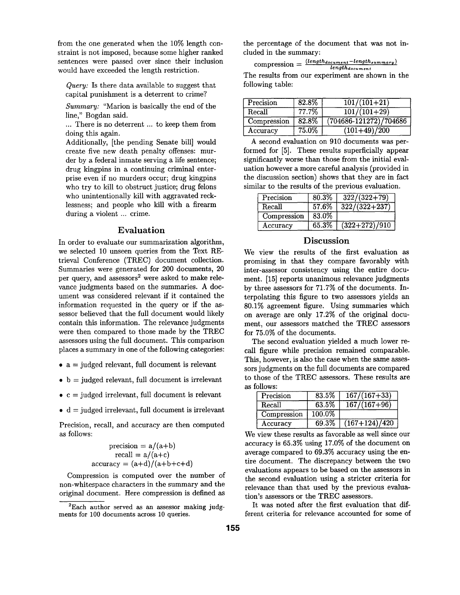from the one generated when the 10% length constraint is not imposed, because some higher ranked sentences were passed over since their inclusion would have exceeded the length restriction.

*Query:* Is there data available to suggest that capital punishment is a deterrent to crime?

*Summary:* "Marion is basically the end of the line," Bogdan said.

... There is no deterrent ... to keep them from doing this again.

Additionally, [the pending Senate bill] would create five new death penalty offenses: murder by a federal inmate serving a life sentence; drug kingpins in a continuing criminal enterprise even if no murders occur; drug kingpins who try to kill to obstruct justice; drug felons who unintentionally kill with aggravated recklessness; and people who kill with a firearm during a violent ... crime.

## **Evaluation**

In order to evaluate our summarization algorithm, we selected 10 unseen queries from the Text REtrieval Conference (TREC) document collection. Summaries were generated for 200 documents, 20 per query, and assessors<sup>2</sup> were asked to make relevance judgments based on the summaries. A document was considered relevant if it contained the information requested in the query or if the assessor believed that the full document would likely contain this information. The relevance judgments were then compared to those made by the TREC assessors using the full document. This comparison places a summary in one of the following categories:

- $a =$  judged relevant, full document is relevant
- $\bullet$  b = judged relevant, full document is irrelevant
- $\bullet$  c = judged irrelevant, full document is relevant
- $\bullet$  d = judged irrelevant, full document is irrelevant

Precision, recall, and accuracy are then computed as follows:

$$
\begin{aligned}\n\text{precision} &= a/(a+b) \\
\text{recall} &= a/(a+c) \\
\text{accuracy} &= (a+d)/(a+b+c+d)\n\end{aligned}
$$

Compression is computed over the number of non-whitespace characters in the summary and the original document. Here compression is defined as the percentage of the document that was not included in the summary:

 $\text{compression} = \frac{\text{(length}_{document} - \text{length}_{summary})}{\text{length}_{document}}$ The results from our experiment are shown in the following table:

| Precision   | 82.8%    | $\overline{101/(101+21)}$  |
|-------------|----------|----------------------------|
| Recall      | 77.7%    | $\overline{101/(101+29)}$  |
| Compression | 82.8%    | $(704686 - 121272)/704686$ |
| Accuracy    | $75.0\%$ | $(101+49)/200$             |

A second evaluation on 910 documents was performed for [5]. These results superficially appear significantly worse than those from the initial evaluation however a more careful analysis (provided in the discussion section) shows that they are in fact similar to the results of the previous evaluation.

| Precision   | 80.3% | $322/(322+79)$        |
|-------------|-------|-----------------------|
| Recall      | 57.6% | $\frac{322}{322+237}$ |
| Compression | 83.0% |                       |
| Accuracy    | 65.3% | $(322+272)/910$       |

# **Discussion**

We view the results of the first evaluation as promising in that they compare favorably with inter-assessor consistency using the entire document. [15] reports unanimous relevance judgments by three assessors for 71.7% of the documents. Interpolating this figure to two assessors yields an 80.1% agreement figure. Using summaries which on average are only 17.2% of the original document, our assessors matched the TREC assessors for 75.0% of the documents.

The second evaluation yielded a much lower recall figure while precision remained comparable. This, however, is also the case when the same assessors judgments on the full documents are compared to those of the TREC assessors. These results are as follows:

| Precision   | 83.5%  | $167/(167+33)$         |
|-------------|--------|------------------------|
| Recall      | 63.5%  | $167/(167+96)$         |
| Compression | 100.0% |                        |
| Accuracy    | 69.3%  | $\sqrt{(167+124)/420}$ |

We view these results as favorable as well since our accuracy is 65.3% using 17.0% of the document on average compared to 69.3% accuracy using the entire document. The discrepancy between the two evaluations appears to be based on the assessors in the second evaluation using a stricter criteria for relevance than that used by the previous evaluation's assessors or the TREC assessors.

It was noted after the first evaluation that different criteria for relevance accounted for some of

 ${}^{2}$ Each author served as an assessor making judgments for 100 documents across 10 queries.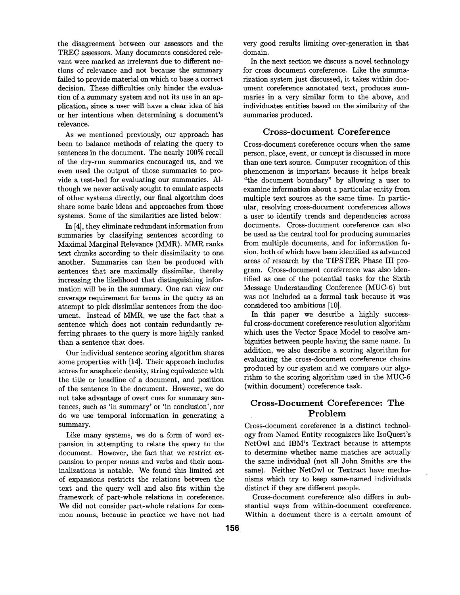the disagreement between our assessors and the TREC assessors. Many documents considered relevant were marked as irrelevant due to different notions of relevance and not because the summary failed to provide material on which to base a correct decision. These difficulties only hinder the evaluation of a summary system and not its use in an application, since a user will have a clear idea of his or her intentions when determining a document's relevance.

As we mentioned previously, our approach has been to balance methods of relating the query to sentences in the document. The nearly 100% recall of the dry-run summaries encouraged us, and we even used the output of those summaries to provide a test-bed for evaluating our summaries. Although we never actively sought to emulate aspects of other systems directly, our final algorithm does share some basic ideas and approaches from those systems. Some of the similarities are listed below:

In [4], they eliminate redundant information from summaries by classifying sentences according to Maximal Marginal Relevance (MMR). MMR ranks text chunks according to their dissimilarity to one another. Summaries can then be produced with sentences that are maximally dissimilar, thereby increasing the likelihood that distinguishing information will be in the summary. One can view our coverage requirement for terms in the query as an attempt to pick dissimilar sentences from the document. Instead of MMR, we use the fact that a sentence which does not contain redundantly referring phrases to the query is more highly ranked than a sentence that does.

Our individual sentence scoring algorithm shares some properties with [14]. Their approach includes scores for anaphoric density, string equivalence with the title or headline of a document, and position of the sentence in the document. However, we do not take advantage of overt cues for summary sentences, such as 'in summary' or 'in conclusion', nor do we use temporal information in generating a summary.

Like many systems, we do a form of word expansion in attempting to relate the query to the document. However, the fact that we restrict expansion to proper nouns and verbs and their nominalizations is notable. We found this limited set of expansions restricts the relations between the text and the query well and also fits within the framework of part-whole relations in coreference. We did not consider part-whole relations for common nouns, because in practice we have not had

very good results limiting over-generation in that domain.

In the next section we discuss a novel technology for cross document coreference. Like the summarization system just discussed, it takes within document coreference annotated text, produces summaries in a very similar form to the above, and individuates entities based on the similarity of the summaries produced.

# Cross-document Coreference

Cross-document coreference occurs when the same person, place, event, or concept is discussed in more than one text source. Computer recognition of this phenomenon is important because it helps break "the document boundary" by allowing a user to examine information about a particular entity from multiple text sources at the same time. In particular, resolving cross-document coreferences allows a user to identify trends and dependencies across documents. Cross-document coreference can also be used as the central tool for producing summaries from multiple documents, and for information fusion, both of which have been identified as advanced areas of research by the TIPSTER Phase III program. Cross-document coreference was also identified as one of the potential tasks for the Sixth Message Understanding Conference (MUC-6) but was not included as a formal task because it was considered too ambitious [10].

In this paper we describe a highly successful cross-document coreference resolution algorithm which uses the Vector Space Model to resolve ambiguities between people having the same name. In addition, we also describe a scoring algorithm for evaluating the cross-document coreference chains produced by our system and we compare our algorithm to the scoring algorithm used in the MUC-6 (within document) coreference task.

# Cross-Document Coreference: The Problem

Cross-document coreference is a distinct technology from Named Entity recognizers like IsoQuest's NetOwl and IBM's Textract because it attempts to determine whether name matches are actually the same individual (not all John Smiths are the same). Neither NetOwl or Textract have mechanisms which try to keep same-named individuals distinct if they are different people.

Cross-document coreference also differs in substantial ways from within-document coreference. Within a document there is a certain amount of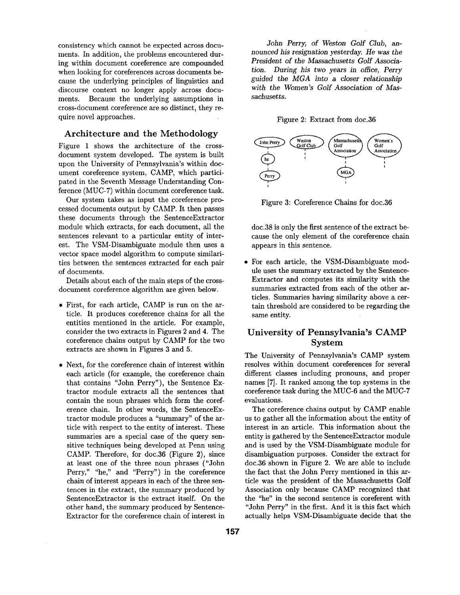consistency which cannot be expected across documents. In addition, the problems encountered during within document coreference are compounded when looking for coreferences across documents because the underlying principles of linguistics and discourse context no longer apply across documents. Because the underlying assumptions in cross-document coreference are so distinct, they require novel approaches.

# Architecture and the Methodology

Figure 1 shows the architecture of the crossdocument system developed. The system is built upon the University of Pennsylvania's within document coreference system, CAMP, which participated in the Seventh Message Understanding Conference (MUC-7) within document coreference task.

Our system takes as input the coreference processed documents output by CAMP. It then passes these documents through the SentenceExtractor module which extracts, for each document, all the sentences relevant to a particular entity of interest. The VSM-Disambiguate module then uses a vector space model algorithm to compute similarities between the sentences extracted for each pair of documents.

Details about each of the main steps of the crossdocument coreference algorithm are given below.

- First, for each article, CAMP is run on the article. It produces coreference chains for all the entities mentioned in the article. For example, consider the two extracts in Figures 2 and 4. The coreference chains output by CAMP for the two extracts are shown in Figures 3 and 5.
- Next, for the coreference chain of interest within each article (for example, the coreference chain that contains "John Perry"), the Sentence Extractor module extracts all the sentences that contain the noun phrases which form the coreference chain. In other words, the SentenceExtractor module produces a "summary" of the article with respect to the entity of interest. These summaries are a special case of the query sensitive techniques being developed at Penn using CAMP. Therefore, for doc.36 (Figure 2), since at least one of the three noun phrases ("John Perry," "he," and "Perry") in the coreference chain of interest appears in each of the three sentences in the extract, the summary produced by SentenceExtractor is the extract itself. On the other hand, the summary produced by Sentence-Extractor for the coreference chain of interest in

*John* Perry, *of Weston Golf Club, announced his resignation yesterday. He was the President of the Massachusetts Golf Association.* During his two years in office, Perry *guided the MGA into a closer relationship with the Women's Golf Association of Massachusetts.* 

#### Figure 2: Extract from doc.36



Figure 3: Coreference Chains for doc.36

doc.38 is only the first sentence of the extract because the only element of the coreference chain appears in this sentence.

For each article, the VSM-Disambiguate module uses the summary extracted by the Sentence-Extractor and computes its similarity with the summaries extracted from each of the other articles. Summaries having similarity above a certain threshold are considered to be regarding the same entity.

# University of Pennsylvania's CAMP System

The University of Pennsylvania's CAMP system resolves within document coreferences for several different classes including pronouns, and proper names [7]. It ranked among the top systems in the coreference task during the MUC-6 and the MUC-7 evaluations.

The coreference chains output by CAMP enable us to gather all the information about the entity of interest in an article. This information about the entity is gathered by the SentenceExtractor module and is used by the VSM-Disambiguate module for disambiguation purposes. Consider the extract for doc.36 shown in Figure 2. We are able to include the fact that the John Perry mentioned in this article was the president of the Massachusetts Golf Association only because CAMP recognized that the "he" in the second sentence is coreferent with "John Perry" in the first. And it is this fact which actually helps VSM-Disambiguate decide that the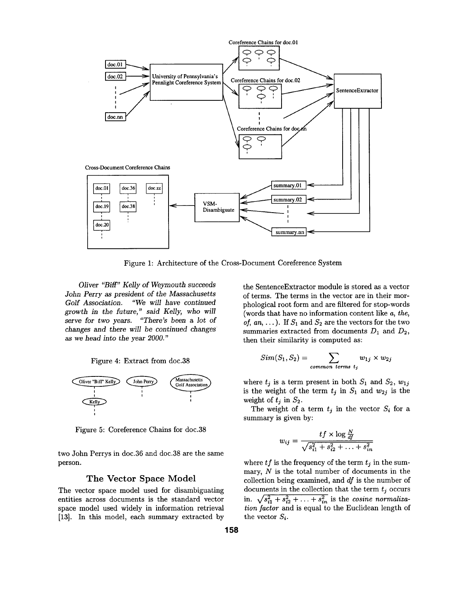

Figure 1: Architecture of the Cross-Document Coreference System

*Oliver* "Biff" *Kelly of Weymouth succeeds John Perry as president of the Massachusetts Golf Association. "We will have continued growth in the future," said Kelly, who will*  serve *for two* years. *"There's been a lot of*  changes and there *will be continued* changes *as we head into the* year *2000."* 





Figure 5: Coreference Chains for doc.38

two John Perrys in doc.36 and doc.38 are the same person.

## **The Vector Space Model**

The vector space model used for disambiguating entities across documents is the standard vector space model used widely in information retrieval [13]. In this model, each summary extracted by

the SentenceExtractor module is stored as a vector of terms. The terms in the vector are in their morphological root form and are filtered for stop-words (words that have no information content like *a, the, of, an, ...*). If  $S_1$  and  $S_2$  are the vectors for the two summaries extracted from documents  $D_1$  and  $D_2$ , then their similarity is computed as:

$$
Sim(S_1, S_2) = \sum_{common \ terms \ t_j} w_{1j} \times w_{2j}
$$

where  $t_i$  is a term present in both  $S_1$  and  $S_2$ ,  $w_{1i}$ is the weight of the term  $t_j$  in  $S_1$  and  $w_{2j}$  is the weight of  $t_j$  in  $S_2$ .

The weight of a term  $t_j$  in the vector  $S_i$  for a summary is given by:

$$
w_{ij} = \frac{tf \times \log \frac{N}{df}}{\sqrt{s_{i1}^2 + s_{i2}^2 + \ldots + s_{in}^2}}
$$

where  $tf$  is the frequency of the term  $t_j$  in the summary,  $N$  is the total number of documents in the collection being examined, and *df* is the number of documents in the collection that the term  $t_i$  occurs in.  $\sqrt{s_{i1}^2 + s_{i2}^2 + \ldots + s_{in}^2}$  is the *cosine normalization factor* and is equal to the Euclidean length of the vector *Si.*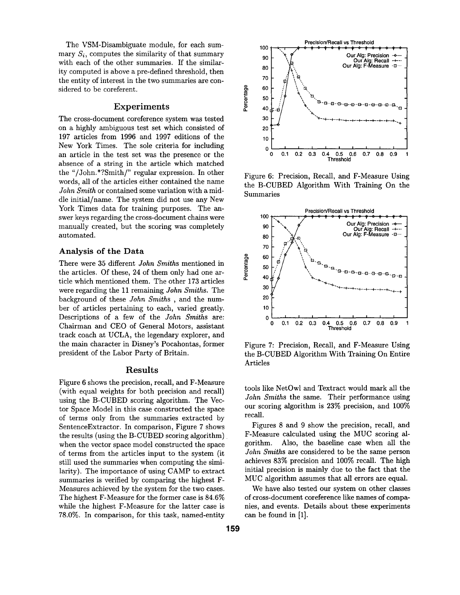The VSM-Disambiguate module, for each summary  $S_i$ , computes the similarity of that summary with each of the other summaries. If the similarity computed is above a pre-defined threshold, then the entity of interest in the two summaries are considered to be coreferent.

## Experiments

The cross-document coreference system was tested on a highly ambiguous test set which consisted of 197 articles from 1996 and 1997 editions of the New York Times. The sole criteria for including an article in the test set was the presence or the absence of a string in the article which matched the "/John.\*?Smith/" regular expression. In other words, all of the articles either contained the name *John Smith* or contained some variation with a middle initial/name. The system did not use any New York Times data for training purposes. The answer keys regarding the cross-document chains were manually created, but the scoring was completely automated.

### **Analysis of the Data**

There were 35 different *John Smiths* mentioned in the articles. Of these, 24 of them only had one article which mentioned them. The other 173 articles were regarding the 11 remaining *John Smiths.* The background of these *John Smiths ,* and the number of articles pertaining to each, varied greatly. Descriptions of a few of the *John Smiths* are: Chairman and CEO of General Motors, assistant track coach at UCLA, the legendary explorer, and the main character in Disney's Pocahontas, former president of the Labor Party of Britain.

# Results

Figure 6 shows the precision, recall, and F-Measure (with equal weights for both precision and recall) using the B-CUBED scoring algorithm. The Vector Space Model in this case constructed the space of terms only from the summaries extracted by SentenceExtractor. In comparison, Figure 7 shows the results (using the B-CUBED scoring algorithm) when the vector space model constructed the space of terms from the articles input to the system (it still used the summaries when computing the similarity). The importance of using CAMP to extract summaries is verified by comparing the highest F-Measures achieved by the system for the two cases. The highest F-Measure for the former case is 84.6% while the highest F-Measure for the latter case is 78.0%. In comparison, for this task, named-entity



Figure 6: Precision, Recall, and F-Measure Using the B-CUBED Algorithm With Training On the Summaries



Figure 7: Precision, Recall, and F-Measure Using the B-CUBED Algorithm With Training On Entire Articles

tools like NetOwl and Textract would mark all the *John Smiths* the same. Their performance using our scoring algorithm is 23% precision, and 100% recall.

Figures 8 and 9 show the precision, recall, and F-Measure calculated using the MUC scoring algorithm. Also, the baseline case when all the *John Smiths* are considered to be the same person achieves 83% precision and 100% recall. The high initial precision is mainly due to the fact that the MUC algorithm assumes that all errors are equal.

We have also tested our system on other classes of cross-document coreference like names of companies, and events. Details about these experiments can be found in [1].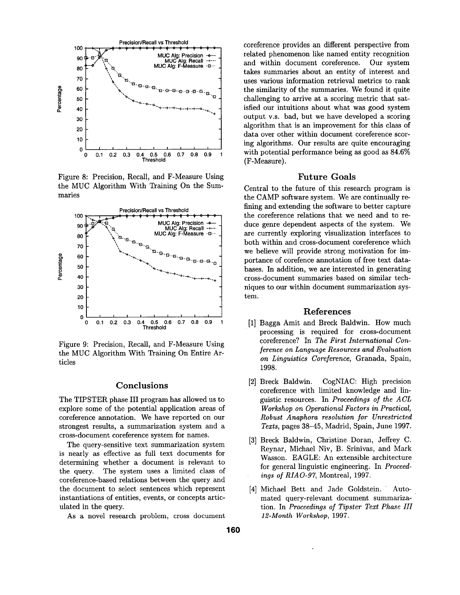

Figure 8: Precision, Recall, and F-Measure Using the MUC Algorithm With Training On the Summaries



Figure 9: Precision, Recall, and F-Measure Using the MUC Algorithm With Training On Entire Articles

## **Conclusions**

The TIPSTER phase III program has allowed us to explore some of the potential application areas of coreference annotation. We have reported on our strongest results, a summarization system and a cross-document coreference system for names.

The query-sensitive text summarization system is nearly as effective as full text documents for determining whether a document is relevant to the query. The system uses a limited class of coreference-based relations between the query and the document to select sentences which represent instantiations of entities, events, or concepts articulated in the query.

As a novel research problem, cross document

coreference provides an different perspective from related phenomenon like named entity recognition and within document coreference. Our system takes summaries about an entity of interest and uses various information retrieval metrics to rank the similarity of the summaries. We found it quite challenging to arrive at a scoring metric that satisfied our intuitions about what was good system output v.s. bad, but we have developed a scoring algorithm that is an improvement for this class of data over other within document coreference scoring algorithms. Our results are quite encouraging with potential performance being as good as 84.6% (F-Measure).

#### Future Goals

Central to the future of this research program is the CAMP software system. We are continually refining and extending the software to better capture the coreference relations that we need and to reduce genre dependent aspects of the system. We are currently exploring visualization interfaces to both within and cross-document coreference which we believe will provide strong motivation for importance of corefence annotation of free text databases. In addition, we are interested in generating cross-document summaries based on similar techniques to our within document summarization system.

## References

- [1] Bagga Amit and Breck Baldwin. How much processing is required for cross-document coreference? In *The First International Conference on Language Resources and Evaluation on Linguistics Coreference,* Granada, Spain, 1998.
- [2] Breck Baldwin. CogNIAC: High precision coreference with limited knowledge and linguistic resources. In *Proceedings of the A CL Workshop on Operational Factors in Practical, Robust Anaphora resolution /or Unrestricted Texts,* pages 38-45, Madrid, Spain, June 1997.
- [3] Breck Baldwin, Christine Doran, Jeffrey C. Reynar, Michael Niv, B. Srinivas, and Mark Wasson. EAGLE: An extensible architecture for general linguistic engineering. In *Proceedings of RIAO-97,* Montreal, 1997.
- [4] Michael Bett and Jade Goldstein. Automated query-relevant document summarization. In *Proceedings of Tipster Text Phase III 12-Month Workshop,* 1997.